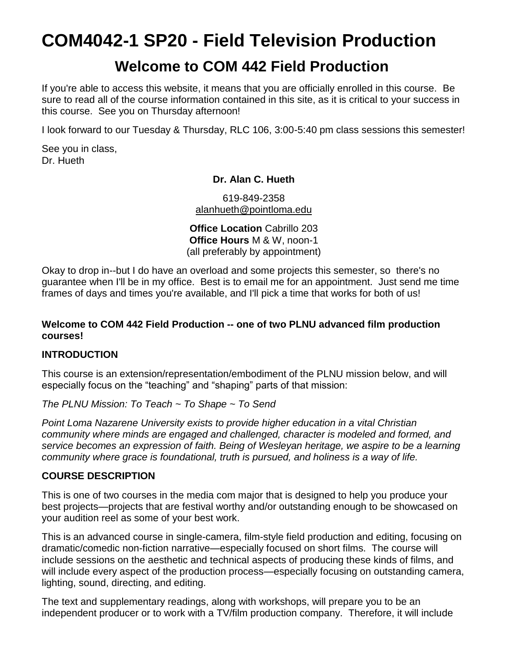# **COM4042-1 SP20 - Field Television Production**

# **Welcome to COM 442 Field Production**

If you're able to access this website, it means that you are officially enrolled in this course. Be sure to read all of the course information contained in this site, as it is critical to your success in this course. See you on Thursday afternoon!

I look forward to our Tuesday & Thursday, RLC 106, 3:00-5:40 pm class sessions this semester!

See you in class, Dr. Hueth

#### **Dr. Alan C. Hueth**

619-849-2358 [alanhueth@pointloma.edu](mailto:alanhueth@pointloma.edu)

**Office Location** Cabrillo 203 **Office Hours** M & W, noon-1 (all preferably by appointment)

Okay to drop in--but I do have an overload and some projects this semester, so there's no guarantee when I'll be in my office. Best is to email me for an appointment. Just send me time frames of days and times you're available, and I'll pick a time that works for both of us!

#### **Welcome to COM 442 Field Production -- one of two PLNU advanced film production courses!**

#### **INTRODUCTION**

This course is an extension/representation/embodiment of the PLNU mission below, and will especially focus on the "teaching" and "shaping" parts of that mission:

*The PLNU Mission: To Teach ~ To Shape ~ To Send*

*Point Loma Nazarene University exists to provide higher education in a vital Christian community where minds are engaged and challenged, character is modeled and formed, and service becomes an expression of faith. Being of Wesleyan heritage, we aspire to be a learning community where grace is foundational, truth is pursued, and holiness is a way of life.*

#### **COURSE DESCRIPTION**

This is one of two courses in the media com major that is designed to help you produce your best projects—projects that are festival worthy and/or outstanding enough to be showcased on your audition reel as some of your best work.

This is an advanced course in single-camera, film-style field production and editing, focusing on dramatic/comedic non-fiction narrative—especially focused on short films. The course will include sessions on the aesthetic and technical aspects of producing these kinds of films, and will include every aspect of the production process—especially focusing on outstanding camera, lighting, sound, directing, and editing.

The text and supplementary readings, along with workshops, will prepare you to be an independent producer or to work with a TV/film production company. Therefore, it will include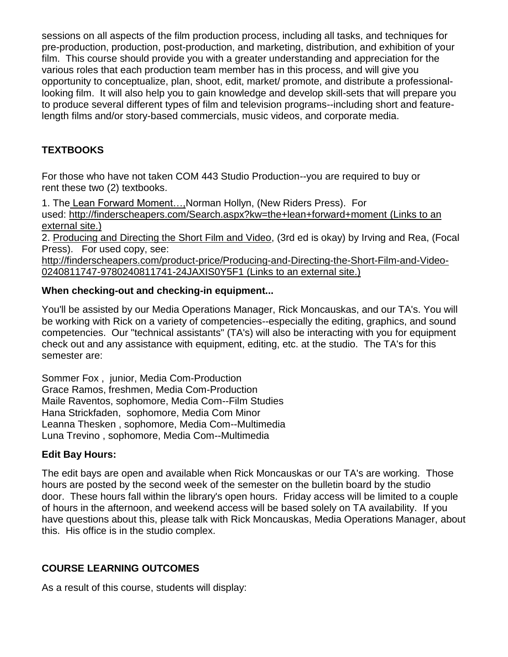sessions on all aspects of the film production process, including all tasks, and techniques for pre-production, production, post-production, and marketing, distribution, and exhibition of your film. This course should provide you with a greater understanding and appreciation for the various roles that each production team member has in this process, and will give you opportunity to conceptualize, plan, shoot, edit, market/ promote, and distribute a professionallooking film. It will also help you to gain knowledge and develop skill-sets that will prepare you to produce several different types of film and television programs--including short and featurelength films and/or story-based commercials, music videos, and corporate media.

# **TEXTBOOKS**

For those who have not taken COM 443 Studio Production--you are required to buy or rent these two (2) textbooks.

1. The Lean Forward Moment…,Norman Hollyn, (New Riders Press). For used: <http://finderscheapers.com/Search.aspx?kw=the+lean+forward+moment> (Links to an [external](http://finderscheapers.com/Search.aspx?kw=the+lean+forward+moment) site.)

2. Producing and Directing the Short Film and Video, (3rd ed is okay) by Irving and Rea, (Focal Press). For used copy, see:

[http://finderscheapers.com/product-price/Producing-and-Directing-the-Short-Film-and-Video-](http://finderscheapers.com/product-price/Producing-and-Directing-the-Short-Film-and-Video-0240811747-9780240811741-24JAXIS0Y5F1)[0240811747-9780240811741-24JAXIS0Y5F1](http://finderscheapers.com/product-price/Producing-and-Directing-the-Short-Film-and-Video-0240811747-9780240811741-24JAXIS0Y5F1) (Links to an external site.)

#### **When checking-out and checking-in equipment...**

You'll be assisted by our Media Operations Manager, Rick Moncauskas, and our TA's. You will be working with Rick on a variety of competencies--especially the editing, graphics, and sound competencies. Our "technical assistants" (TA's) will also be interacting with you for equipment check out and any assistance with equipment, editing, etc. at the studio. The TA's for this semester are:

Sommer Fox , junior, Media Com-Production Grace Ramos, freshmen, Media Com-Production Maile Raventos, sophomore, Media Com--Film Studies Hana Strickfaden, sophomore, Media Com Minor Leanna Thesken , sophomore, Media Com--Multimedia Luna Trevino , sophomore, Media Com--Multimedia

#### **Edit Bay Hours:**

The edit bays are open and available when Rick Moncauskas or our TA's are working. Those hours are posted by the second week of the semester on the bulletin board by the studio door. These hours fall within the library's open hours. Friday access will be limited to a couple of hours in the afternoon, and weekend access will be based solely on TA availability. If you have questions about this, please talk with Rick Moncauskas, Media Operations Manager, about this. His office is in the studio complex.

#### **COURSE LEARNING OUTCOMES**

As a result of this course, students will display: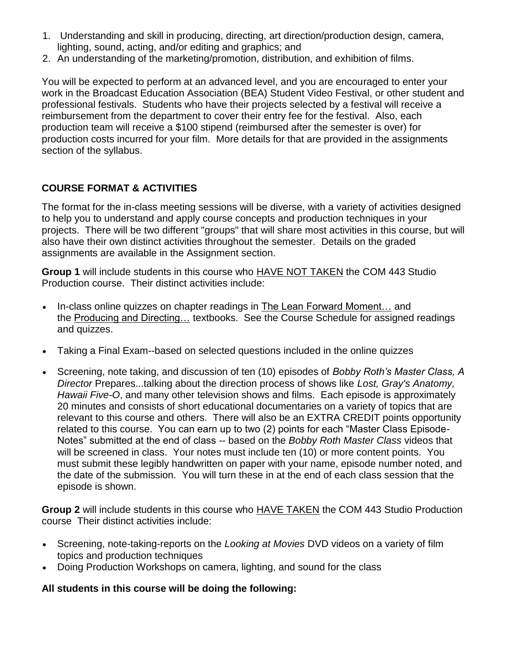- 1. Understanding and skill in producing, directing, art direction/production design, camera, lighting, sound, acting, and/or editing and graphics; and
- 2. An understanding of the marketing/promotion, distribution, and exhibition of films.

You will be expected to perform at an advanced level, and you are encouraged to enter your work in the Broadcast Education Association (BEA) Student Video Festival, or other student and professional festivals. Students who have their projects selected by a festival will receive a reimbursement from the department to cover their entry fee for the festival. Also, each production team will receive a \$100 stipend (reimbursed after the semester is over) for production costs incurred for your film. More details for that are provided in the assignments section of the syllabus.

#### **COURSE FORMAT & ACTIVITIES**

The format for the in-class meeting sessions will be diverse, with a variety of activities designed to help you to understand and apply course concepts and production techniques in your projects. There will be two different "groups" that will share most activities in this course, but will also have their own distinct activities throughout the semester. Details on the graded assignments are available in the Assignment section.

**Group 1** will include students in this course who HAVE NOT TAKEN the COM 443 Studio Production course. Their distinct activities include:

- In-class online quizzes on chapter readings in The Lean Forward Moment... and the Producing and Directing… textbooks. See the Course Schedule for assigned readings and quizzes.
- Taking a Final Exam--based on selected questions included in the online quizzes
- Screening, note taking, and discussion of ten (10) episodes of *Bobby Roth's Master Class, A Director* Prepares...talking about the direction process of shows like *Lost, Gray's Anatomy, Hawaii Five-O*, and many other television shows and films.Each episode is approximately 20 minutes and consists of short educational documentaries on a variety of topics that are relevant to this course and others. There will also be an EXTRA CREDIT points opportunity related to this course. You can earn up to two (2) points for each "Master Class Episode-Notes" submitted at the end of class -- based on the *Bobby Roth Master Class* videos that will be screened in class. Your notes must include ten (10) or more content points. You must submit these legibly handwritten on paper with your name, episode number noted, and the date of the submission. You will turn these in at the end of each class session that the episode is shown.

**Group 2** will include students in this course who HAVE TAKEN the COM 443 Studio Production course Their distinct activities include:

- Screening, note-taking-reports on the *Looking at Movies* DVD videos on a variety of film topics and production techniques
- Doing Production Workshops on camera, lighting, and sound for the class

#### **All students in this course will be doing the following:**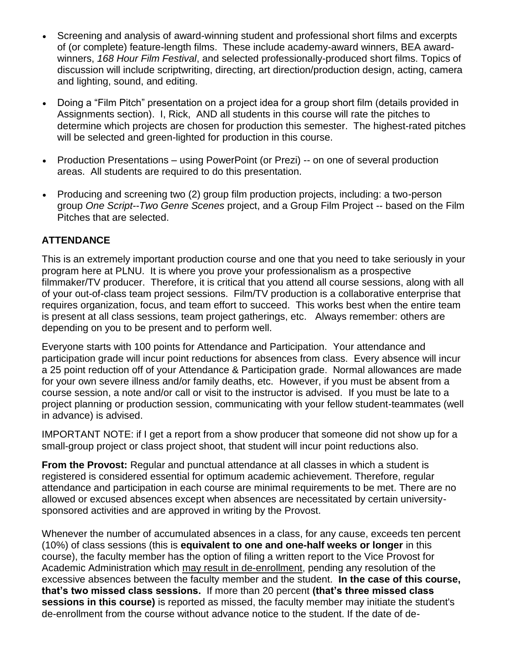- Screening and analysis of award-winning student and professional short films and excerpts of (or complete) feature-length films. These include academy-award winners, BEA awardwinners, *168 Hour Film Festival*, and selected professionally-produced short films. Topics of discussion will include scriptwriting, directing, art direction/production design, acting, camera and lighting, sound, and editing.
- Doing a "Film Pitch" presentation on a project idea for a group short film (details provided in Assignments section). I, Rick, AND all students in this course will rate the pitches to determine which projects are chosen for production this semester. The highest-rated pitches will be selected and green-lighted for production in this course.
- Production Presentations using PowerPoint (or Prezi) -- on one of several production areas. All students are required to do this presentation.
- Producing and screening two (2) group film production projects, including: a two-person group *One Script--Two Genre Scenes* project, and a Group Film Project -- based on the Film Pitches that are selected.

#### **ATTENDANCE**

This is an extremely important production course and one that you need to take seriously in your program here at PLNU. It is where you prove your professionalism as a prospective filmmaker/TV producer. Therefore, it is critical that you attend all course sessions, along with all of your out-of-class team project sessions. Film/TV production is a collaborative enterprise that requires organization, focus, and team effort to succeed. This works best when the entire team is present at all class sessions, team project gatherings, etc. Always remember: others are depending on you to be present and to perform well.

Everyone starts with 100 points for Attendance and Participation. Your attendance and participation grade will incur point reductions for absences from class. Every absence will incur a 25 point reduction off of your Attendance & Participation grade. Normal allowances are made for your own severe illness and/or family deaths, etc. However, if you must be absent from a course session, a note and/or call or visit to the instructor is advised. If you must be late to a project planning or production session, communicating with your fellow student-teammates (well in advance) is advised.

IMPORTANT NOTE: if I get a report from a show producer that someone did not show up for a small-group project or class project shoot, that student will incur point reductions also.

**From the Provost:** Regular and punctual attendance at all classes in which a student is registered is considered essential for optimum academic achievement. Therefore, regular attendance and participation in each course are minimal requirements to be met. There are no allowed or excused absences except when absences are necessitated by certain universitysponsored activities and are approved in writing by the Provost.

Whenever the number of accumulated absences in a class, for any cause, exceeds ten percent (10%) of class sessions (this is **equivalent to one and one-half weeks or longer** in this course), the faculty member has the option of filing a written report to the Vice Provost for Academic Administration which may result in de-enrollment, pending any resolution of the excessive absences between the faculty member and the student. **In the case of this course, that's two missed class sessions.** If more than 20 percent **(that's three missed class sessions in this course)** is reported as missed, the faculty member may initiate the student's de-enrollment from the course without advance notice to the student. If the date of de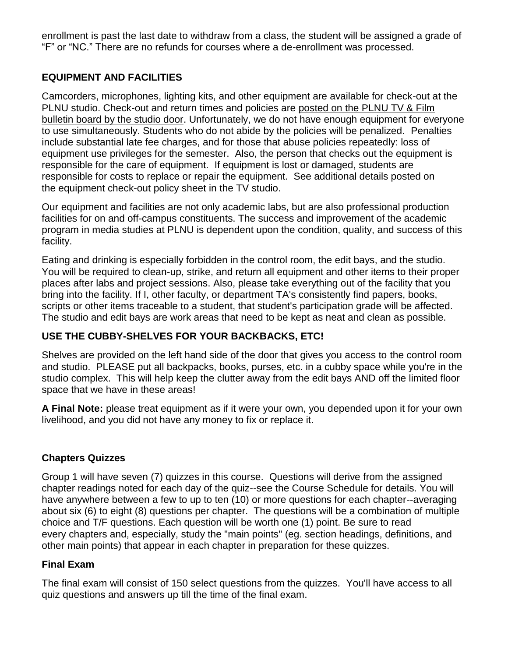enrollment is past the last date to withdraw from a class, the student will be assigned a grade of "F" or "NC." There are no refunds for courses where a de-enrollment was processed.

#### **EQUIPMENT AND FACILITIES**

Camcorders, microphones, lighting kits, and other equipment are available for check-out at the PLNU studio. Check-out and return times and policies are posted on the PLNU TV & Film bulletin board by the studio door. Unfortunately, we do not have enough equipment for everyone to use simultaneously. Students who do not abide by the policies will be penalized. Penalties include substantial late fee charges, and for those that abuse policies repeatedly: loss of equipment use privileges for the semester. Also, the person that checks out the equipment is responsible for the care of equipment. If equipment is lost or damaged, students are responsible for costs to replace or repair the equipment. See additional details posted on the equipment check-out policy sheet in the TV studio.

Our equipment and facilities are not only academic labs, but are also professional production facilities for on and off-campus constituents. The success and improvement of the academic program in media studies at PLNU is dependent upon the condition, quality, and success of this facility.

Eating and drinking is especially forbidden in the control room, the edit bays, and the studio. You will be required to clean-up, strike, and return all equipment and other items to their proper places after labs and project sessions. Also, please take everything out of the facility that you bring into the facility. If I, other faculty, or department TA's consistently find papers, books, scripts or other items traceable to a student, that student's participation grade will be affected. The studio and edit bays are work areas that need to be kept as neat and clean as possible.

# **USE THE CUBBY-SHELVES FOR YOUR BACKBACKS, ETC!**

Shelves are provided on the left hand side of the door that gives you access to the control room and studio. PLEASE put all backpacks, books, purses, etc. in a cubby space while you're in the studio complex. This will help keep the clutter away from the edit bays AND off the limited floor space that we have in these areas!

**A Final Note:** please treat equipment as if it were your own, you depended upon it for your own livelihood, and you did not have any money to fix or replace it.

#### **Chapters Quizzes**

Group 1 will have seven (7) quizzes in this course. Questions will derive from the assigned chapter readings noted for each day of the quiz--see the Course Schedule for details. You will have anywhere between a few to up to ten (10) or more questions for each chapter--averaging about six (6) to eight (8) questions per chapter. The questions will be a combination of multiple choice and T/F questions. Each question will be worth one (1) point. Be sure to read every chapters and, especially, study the "main points" (eg. section headings, definitions, and other main points) that appear in each chapter in preparation for these quizzes.

#### **Final Exam**

The final exam will consist of 150 select questions from the quizzes. You'll have access to all quiz questions and answers up till the time of the final exam.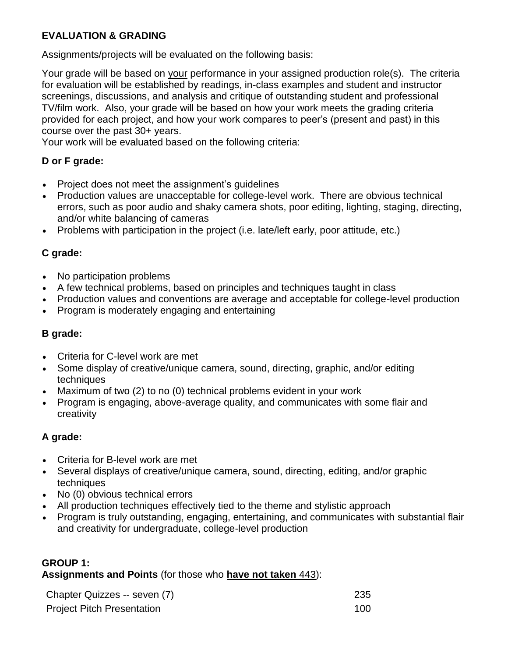# **EVALUATION & GRADING**

Assignments/projects will be evaluated on the following basis:

Your grade will be based on your performance in your assigned production role(s). The criteria for evaluation will be established by readings, in-class examples and student and instructor screenings, discussions, and analysis and critique of outstanding student and professional TV/film work. Also, your grade will be based on how your work meets the grading criteria provided for each project, and how your work compares to peer's (present and past) in this course over the past 30+ years.

Your work will be evaluated based on the following criteria:

# **D or F grade:**

- Project does not meet the assignment's guidelines
- Production values are unacceptable for college-level work. There are obvious technical errors, such as poor audio and shaky camera shots, poor editing, lighting, staging, directing, and/or white balancing of cameras
- Problems with participation in the project (i.e. late/left early, poor attitude, etc.)

#### **C grade:**

- No participation problems
- A few technical problems, based on principles and techniques taught in class
- Production values and conventions are average and acceptable for college-level production
- Program is moderately engaging and entertaining

### **B grade:**

- Criteria for C-level work are met
- Some display of creative/unique camera, sound, directing, graphic, and/or editing techniques
- Maximum of two (2) to no (0) technical problems evident in your work
- Program is engaging, above-average quality, and communicates with some flair and creativity

# **A grade:**

- Criteria for B-level work are met
- Several displays of creative/unique camera, sound, directing, editing, and/or graphic techniques
- No (0) obvious technical errors
- All production techniques effectively tied to the theme and stylistic approach
- Program is truly outstanding, engaging, entertaining, and communicates with substantial flair and creativity for undergraduate, college-level production

#### **GROUP 1:**

**Assignments and Points** (for those who **have not taken** 443):

| Chapter Quizzes -- seven (7)      | 235 |
|-----------------------------------|-----|
| <b>Project Pitch Presentation</b> | 100 |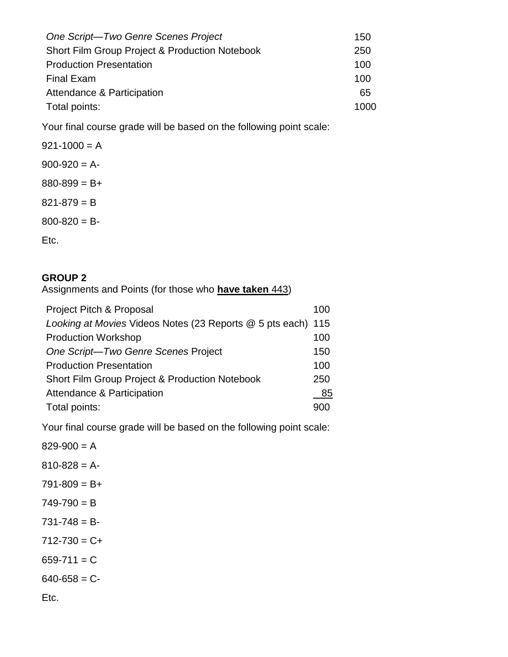| One Script-Two Genre Scenes Project                       | 150  |
|-----------------------------------------------------------|------|
| <b>Short Film Group Project &amp; Production Notebook</b> | 250  |
| <b>Production Presentation</b>                            | 100  |
| <b>Final Exam</b>                                         | 100  |
| Attendance & Participation                                | 65   |
| Total points:                                             | 1000 |

Your final course grade will be based on the following point scale:

 $921-1000 = A$  $900-920 = A 880 - 899 = B +$  $821 - 879 = B$  $800 - 820 = B$ Etc.

#### **GROUP 2**

Assignments and Points (for those who **have taken** 443)

| Project Pitch & Proposal                                     | 100 |
|--------------------------------------------------------------|-----|
| Looking at Movies Videos Notes (23 Reports @ 5 pts each) 115 |     |
| <b>Production Workshop</b>                                   | 100 |
| One Script-Two Genre Scenes Project                          | 150 |
| <b>Production Presentation</b>                               | 100 |
| <b>Short Film Group Project &amp; Production Notebook</b>    | 250 |
| Attendance & Participation                                   | 85  |
| Total points:                                                | 900 |

Your final course grade will be based on the following point scale:

 $829-900 = A$  $810 - 828 = A$  $791 - 809 = B +$  $749 - 790 = B$  $731 - 748 = B 712 - 730 = C +$  $659 - 711 = C$  $640-658 = C$ Etc.